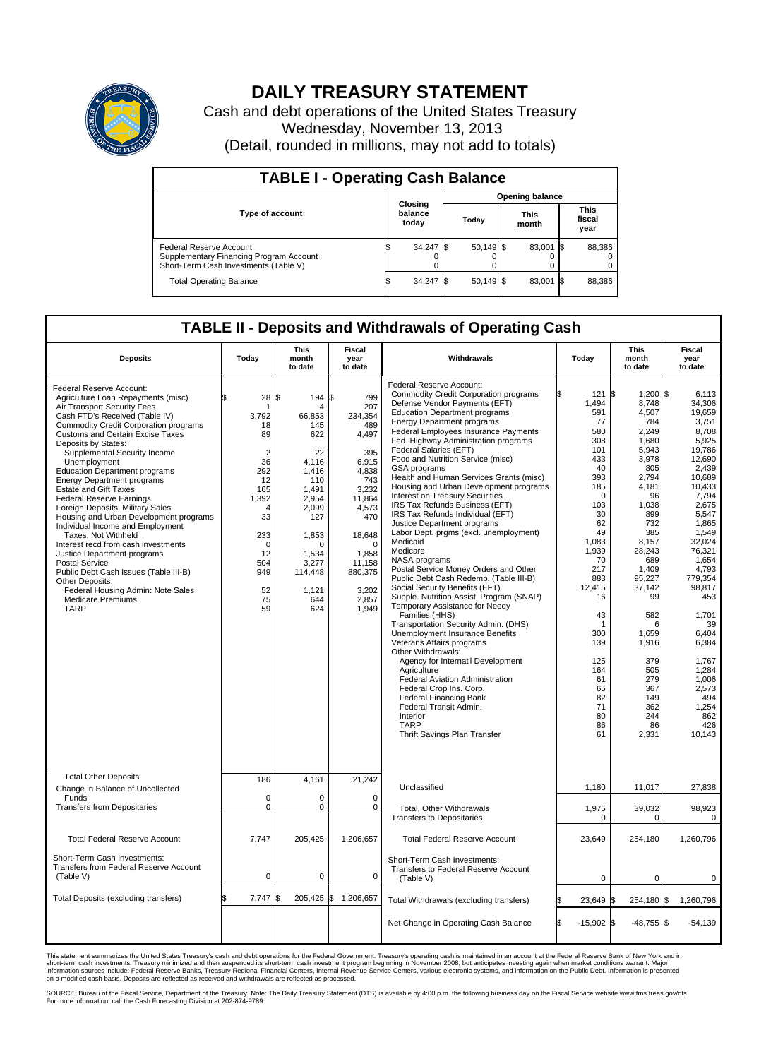

## **DAILY TREASURY STATEMENT**

Cash and debt operations of the United States Treasury Wednesday, November 13, 2013 (Detail, rounded in millions, may not add to totals)

| <b>TABLE I - Operating Cash Balance</b>                                                                     |  |                             |  |                        |  |                      |  |                               |  |  |
|-------------------------------------------------------------------------------------------------------------|--|-----------------------------|--|------------------------|--|----------------------|--|-------------------------------|--|--|
| <b>Type of account</b>                                                                                      |  | Closing<br>balance<br>today |  | <b>Opening balance</b> |  |                      |  |                               |  |  |
|                                                                                                             |  |                             |  | Today                  |  | <b>This</b><br>month |  | <b>This</b><br>fiscal<br>year |  |  |
| Federal Reserve Account<br>Supplementary Financing Program Account<br>Short-Term Cash Investments (Table V) |  | $34,247$ \$                 |  | $50,149$ \$            |  | 83.001 \$            |  | 88,386                        |  |  |
| <b>Total Operating Balance</b>                                                                              |  | $34,247$ \$                 |  | $50.149$ \$            |  | 83,001 \$            |  | 88,386                        |  |  |

## **TABLE II - Deposits and Withdrawals of Operating Cash**

| <b>Deposits</b>                                                                                                                                                                                                                                                                                                                                                                                                                                                                                                                                                                                                                                                                                                                                                                                                         | Today                                                                                                                                                                    | This<br>month<br>to date                                                                                                                                                  | <b>Fiscal</b><br>Withdrawals<br>year<br>to date                                                                                                                                               |                                                                                                                                                                                                                                                                                                                                                                                                                                                                                                                                                                                                                                                                                                                                                                                                                                                                                                                                                                                                                                                                                                                                                                                                                                                                         |                                                                                                                                                                                                                                                                     |                                                                                                                                                                                                                                                                                                 | Today                                                                                                                                                                                                                                                                                                                             | <b>This</b><br>month<br>to date | <b>Fiscal</b><br>year<br>to date |
|-------------------------------------------------------------------------------------------------------------------------------------------------------------------------------------------------------------------------------------------------------------------------------------------------------------------------------------------------------------------------------------------------------------------------------------------------------------------------------------------------------------------------------------------------------------------------------------------------------------------------------------------------------------------------------------------------------------------------------------------------------------------------------------------------------------------------|--------------------------------------------------------------------------------------------------------------------------------------------------------------------------|---------------------------------------------------------------------------------------------------------------------------------------------------------------------------|-----------------------------------------------------------------------------------------------------------------------------------------------------------------------------------------------|-------------------------------------------------------------------------------------------------------------------------------------------------------------------------------------------------------------------------------------------------------------------------------------------------------------------------------------------------------------------------------------------------------------------------------------------------------------------------------------------------------------------------------------------------------------------------------------------------------------------------------------------------------------------------------------------------------------------------------------------------------------------------------------------------------------------------------------------------------------------------------------------------------------------------------------------------------------------------------------------------------------------------------------------------------------------------------------------------------------------------------------------------------------------------------------------------------------------------------------------------------------------------|---------------------------------------------------------------------------------------------------------------------------------------------------------------------------------------------------------------------------------------------------------------------|-------------------------------------------------------------------------------------------------------------------------------------------------------------------------------------------------------------------------------------------------------------------------------------------------|-----------------------------------------------------------------------------------------------------------------------------------------------------------------------------------------------------------------------------------------------------------------------------------------------------------------------------------|---------------------------------|----------------------------------|
| Federal Reserve Account:<br>Agriculture Loan Repayments (misc)<br>Air Transport Security Fees<br>Cash FTD's Received (Table IV)<br>Commodity Credit Corporation programs<br><b>Customs and Certain Excise Taxes</b><br>Deposits by States:<br>Supplemental Security Income<br>Unemployment<br><b>Education Department programs</b><br><b>Energy Department programs</b><br><b>Estate and Gift Taxes</b><br><b>Federal Reserve Earnings</b><br>Foreign Deposits, Military Sales<br>Housing and Urban Development programs<br>Individual Income and Employment<br>Taxes. Not Withheld<br>Interest recd from cash investments<br>Justice Department programs<br>Postal Service<br>Public Debt Cash Issues (Table III-B)<br>Other Deposits:<br>Federal Housing Admin: Note Sales<br><b>Medicare Premiums</b><br><b>TARP</b> | 28<br>\$<br>1<br>3,792<br>18<br>89<br>$\overline{2}$<br>36<br>292<br>12<br>165<br>1.392<br>$\overline{4}$<br>33<br>233<br>$\Omega$<br>12<br>504<br>949<br>52<br>75<br>59 | \$<br>194<br>Δ<br>66,853<br>145<br>622<br>22<br>4.116<br>1.416<br>110<br>1.491<br>2,954<br>2,099<br>127<br>1,853<br>O<br>1,534<br>3,277<br>114,448<br>1,121<br>644<br>624 | \$<br>799<br>207<br>234,354<br>489<br>4,497<br>395<br>6,915<br>4.838<br>743<br>3,232<br>11,864<br>4,573<br>470<br>18,648<br>$\Omega$<br>1,858<br>11,158<br>880,375<br>3,202<br>2,857<br>1,949 | Federal Reserve Account:<br><b>Commodity Credit Corporation programs</b><br>Defense Vendor Payments (EFT)<br><b>Education Department programs</b><br><b>Energy Department programs</b><br>Federal Employees Insurance Payments<br>Fed. Highway Administration programs<br>Federal Salaries (EFT)<br>Food and Nutrition Service (misc)<br>GSA programs<br>Health and Human Services Grants (misc)<br>Housing and Urban Development programs<br>Interest on Treasury Securities<br>IRS Tax Refunds Business (EFT)<br>IRS Tax Refunds Individual (EFT)<br>Justice Department programs<br>Labor Dept. prgms (excl. unemployment)<br>Medicaid<br>Medicare<br>NASA programs<br>Postal Service Money Orders and Other<br>Public Debt Cash Redemp. (Table III-B)<br>Social Security Benefits (EFT)<br>Supple. Nutrition Assist. Program (SNAP)<br>Temporary Assistance for Needy<br>Families (HHS)<br>Transportation Security Admin. (DHS)<br><b>Unemployment Insurance Benefits</b><br>Veterans Affairs programs<br>Other Withdrawals:<br>Agency for Internat'l Development<br>Agriculture<br>Federal Aviation Administration<br>Federal Crop Ins. Corp.<br><b>Federal Financing Bank</b><br>Federal Transit Admin.<br>Interior<br><b>TARP</b><br>Thrift Savings Plan Transfer | 121S<br>1,494<br>591<br>77<br>580<br>308<br>101<br>433<br>40<br>393<br>185<br>$\mathbf 0$<br>103<br>30<br>62<br>49<br>1,083<br>1,939<br>70<br>217<br>883<br>12.415<br>16<br>43<br>$\mathbf 1$<br>300<br>139<br>125<br>164<br>61<br>65<br>82<br>71<br>80<br>86<br>61 | $1,200$ \$<br>8,748<br>4,507<br>784<br>2,249<br>1,680<br>5,943<br>3,978<br>805<br>2,794<br>4,181<br>96<br>1,038<br>899<br>732<br>385<br>8.157<br>28,243<br>689<br>1,409<br>95,227<br>37,142<br>99<br>582<br>6<br>1,659<br>1,916<br>379<br>505<br>279<br>367<br>149<br>362<br>244<br>86<br>2,331 | 6.113<br>34,306<br>19.659<br>3,751<br>8,708<br>5,925<br>19,786<br>12,690<br>2,439<br>10.689<br>10,433<br>7,794<br>2,675<br>5.547<br>1,865<br>1,549<br>32.024<br>76,321<br>1,654<br>4,793<br>779.354<br>98,817<br>453<br>1,701<br>39<br>6,404<br>6,384<br>1,767<br>1,284<br>1,006<br>2,573<br>494<br>1,254<br>862<br>426<br>10,143 |                                 |                                  |
| <b>Total Other Deposits</b><br>Change in Balance of Uncollected                                                                                                                                                                                                                                                                                                                                                                                                                                                                                                                                                                                                                                                                                                                                                         | 186                                                                                                                                                                      | 4,161                                                                                                                                                                     | 21,242                                                                                                                                                                                        | Unclassified                                                                                                                                                                                                                                                                                                                                                                                                                                                                                                                                                                                                                                                                                                                                                                                                                                                                                                                                                                                                                                                                                                                                                                                                                                                            | 1,180                                                                                                                                                                                                                                                               | 11,017                                                                                                                                                                                                                                                                                          | 27,838                                                                                                                                                                                                                                                                                                                            |                                 |                                  |
| Funds<br><b>Transfers from Depositaries</b>                                                                                                                                                                                                                                                                                                                                                                                                                                                                                                                                                                                                                                                                                                                                                                             | $\mathbf 0$<br>$\mathbf 0$                                                                                                                                               | $\Omega$<br>0                                                                                                                                                             | $\Omega$<br>0                                                                                                                                                                                 | Total, Other Withdrawals<br><b>Transfers to Depositaries</b>                                                                                                                                                                                                                                                                                                                                                                                                                                                                                                                                                                                                                                                                                                                                                                                                                                                                                                                                                                                                                                                                                                                                                                                                            | 1,975<br>0                                                                                                                                                                                                                                                          | 39,032<br>0                                                                                                                                                                                                                                                                                     | 98,923<br>$\mathbf 0$                                                                                                                                                                                                                                                                                                             |                                 |                                  |
| <b>Total Federal Reserve Account</b>                                                                                                                                                                                                                                                                                                                                                                                                                                                                                                                                                                                                                                                                                                                                                                                    | 7,747                                                                                                                                                                    | 205,425                                                                                                                                                                   | 1,206,657                                                                                                                                                                                     | <b>Total Federal Reserve Account</b>                                                                                                                                                                                                                                                                                                                                                                                                                                                                                                                                                                                                                                                                                                                                                                                                                                                                                                                                                                                                                                                                                                                                                                                                                                    | 23,649                                                                                                                                                                                                                                                              | 254,180                                                                                                                                                                                                                                                                                         | 1,260,796                                                                                                                                                                                                                                                                                                                         |                                 |                                  |
| Short-Term Cash Investments:<br>Transfers from Federal Reserve Account<br>(Table V)                                                                                                                                                                                                                                                                                                                                                                                                                                                                                                                                                                                                                                                                                                                                     | $\mathbf 0$                                                                                                                                                              | 0                                                                                                                                                                         | 0                                                                                                                                                                                             | Short-Term Cash Investments:<br>Transfers to Federal Reserve Account<br>(Table V)                                                                                                                                                                                                                                                                                                                                                                                                                                                                                                                                                                                                                                                                                                                                                                                                                                                                                                                                                                                                                                                                                                                                                                                       | 0                                                                                                                                                                                                                                                                   | $\Omega$                                                                                                                                                                                                                                                                                        | $\Omega$                                                                                                                                                                                                                                                                                                                          |                                 |                                  |
| Total Deposits (excluding transfers)                                                                                                                                                                                                                                                                                                                                                                                                                                                                                                                                                                                                                                                                                                                                                                                    | 7,747<br>\$                                                                                                                                                              | \$                                                                                                                                                                        | 205,425 \$ 1,206,657                                                                                                                                                                          | Total Withdrawals (excluding transfers)                                                                                                                                                                                                                                                                                                                                                                                                                                                                                                                                                                                                                                                                                                                                                                                                                                                                                                                                                                                                                                                                                                                                                                                                                                 | 23,649 \$                                                                                                                                                                                                                                                           | 254,180 \$                                                                                                                                                                                                                                                                                      | 1,260,796                                                                                                                                                                                                                                                                                                                         |                                 |                                  |
|                                                                                                                                                                                                                                                                                                                                                                                                                                                                                                                                                                                                                                                                                                                                                                                                                         |                                                                                                                                                                          |                                                                                                                                                                           |                                                                                                                                                                                               | Net Change in Operating Cash Balance                                                                                                                                                                                                                                                                                                                                                                                                                                                                                                                                                                                                                                                                                                                                                                                                                                                                                                                                                                                                                                                                                                                                                                                                                                    | Ŝ.<br>$-15,902$ \$                                                                                                                                                                                                                                                  | $-48,755$ \$                                                                                                                                                                                                                                                                                    | $-54,139$                                                                                                                                                                                                                                                                                                                         |                                 |                                  |

This statement summarizes the United States Treasury's cash and debt operations for the Federal Government. Treasury's operating cash is maintained in an account at the Federal Reserve Bank of New York and in<br>informetion c

SOURCE: Bureau of the Fiscal Service, Department of the Treasury. Note: The Daily Treasury Statement (DTS) is available by 4:00 p.m. the following business day on the Fiscal Service website www.fms.treas.gov/dts.<br>For more